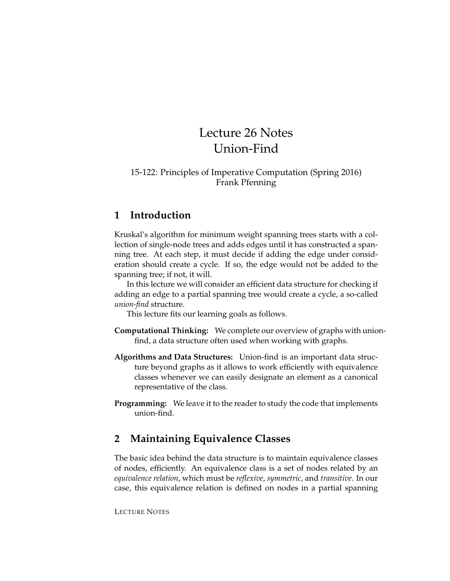# Lecture 26 Notes Union-Find

#### 15-122: Principles of Imperative Computation (Spring 2016) Frank Pfenning

## **1 Introduction**

Kruskal's algorithm for minimum weight spanning trees starts with a collection of single-node trees and adds edges until it has constructed a spanning tree. At each step, it must decide if adding the edge under consideration should create a cycle. If so, the edge would not be added to the spanning tree; if not, it will.

In this lecture we will consider an efficient data structure for checking if adding an edge to a partial spanning tree would create a cycle, a so-called *union-find* structure.

This lecture fits our learning goals as follows.

- **Computational Thinking:** We complete our overview of graphs with unionfind, a data structure often used when working with graphs.
- **Algorithms and Data Structures:** Union-find is an important data structure beyond graphs as it allows to work efficiently with equivalence classes whenever we can easily designate an element as a canonical representative of the class.
- **Programming:** We leave it to the reader to study the code that implements union-find.

# **2 Maintaining Equivalence Classes**

The basic idea behind the data structure is to maintain equivalence classes of nodes, efficiently. An equivalence class is a set of nodes related by an *equivalence relation*, which must be *reflexive*, *symmetric*, and *transitive*. In our case, this equivalence relation is defined on nodes in a partial spanning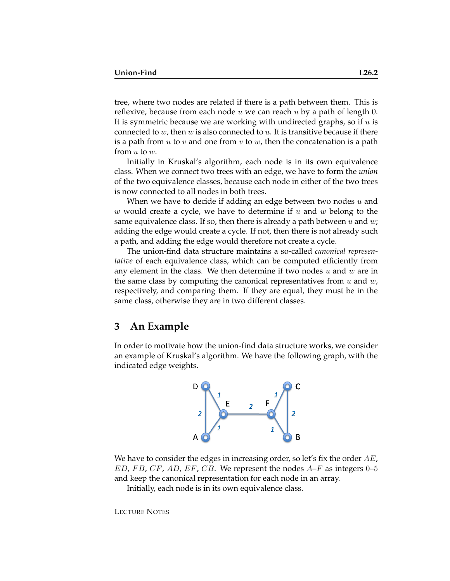tree, where two nodes are related if there is a path between them. This is reflexive, because from each node  $u$  we can reach  $u$  by a path of length 0. It is symmetric because we are working with undirected graphs, so if  $u$  is connected to  $w$ , then  $w$  is also connected to  $u$ . It is transitive because if there is a path from u to v and one from v to w, then the concatenation is a path from  $u$  to  $w$ .

Initially in Kruskal's algorithm, each node is in its own equivalence class. When we connect two trees with an edge, we have to form the *union* of the two equivalence classes, because each node in either of the two trees is now connected to all nodes in both trees.

When we have to decide if adding an edge between two nodes  $u$  and w would create a cycle, we have to determine if  $u$  and  $w$  belong to the same equivalence class. If so, then there is already a path between  $u$  and  $w$ ; adding the edge would create a cycle. If not, then there is not already such a path, and adding the edge would therefore not create a cycle.

The union-find data structure maintains a so-called *canonical representative* of each equivalence class, which can be computed efficiently from any element in the class. We then determine if two nodes  $u$  and  $w$  are in the same class by computing the canonical representatives from  $u$  and  $w$ , respectively, and comparing them. If they are equal, they must be in the same class, otherwise they are in two different classes.

### **3 An Example**

In order to motivate how the union-find data structure works, we consider an example of Kruskal's algorithm. We have the following graph, with the indicated edge weights.



We have to consider the edges in increasing order, so let's fix the order  $AE$ ,  $ED, FB, CF, AD, EF, CB.$  We represent the nodes  $A-F$  as integers 0–5 and keep the canonical representation for each node in an array.

Initially, each node is in its own equivalence class.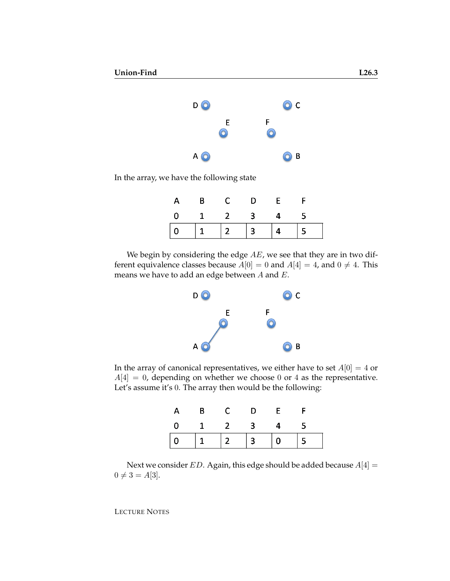

In the array, we have the following state

|                                                  | A B C D E |  |  |
|--------------------------------------------------|-----------|--|--|
| $0 \qquad 1 \qquad 2 \qquad 3 \qquad 4 \qquad 5$ |           |  |  |
|                                                  |           |  |  |

We begin by considering the edge  $AE$ , we see that they are in two different equivalence classes because  $A[0] = 0$  and  $A[4] = 4$ , and  $0 \neq 4$ . This means we have to add an edge between  $A$  and  $E$ .



In the array of canonical representatives, we either have to set  $A[0] = 4$  or  $A[4] = 0$ , depending on whether we choose 0 or 4 as the representative. Let's assume it's 0. The array then would be the following:

| $\mathsf{A}$ | $\overline{B}$     | $\mathsf{D}$ | E              |  |
|--------------|--------------------|--------------|----------------|--|
|              | $0 \t 1 \t 2 \t 3$ |              | $\overline{4}$ |  |
|              |                    |              |                |  |

Next we consider ED. Again, this edge should be added because  $A[4] =$  $0 \neq 3 = A[3]$ .

LECTURE NOTES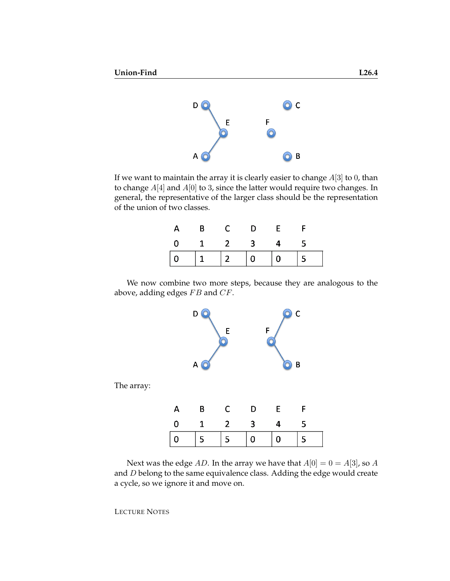

If we want to maintain the array it is clearly easier to change  $A[3]$  to 0, than to change  $A[4]$  and  $A[0]$  to 3, since the latter would require two changes. In general, the representative of the larger class should be the representation of the union of two classes.

|                | $\overline{B}$ |                     | <b>D</b> |  |
|----------------|----------------|---------------------|----------|--|
| $\overline{0}$ |                | $1 \quad 2 \quad 3$ |          |  |
|                |                |                     |          |  |

We now combine two more steps, because they are analogous to the above, adding edges  $FB$  and  $CF$ .



The array:

| $A$ $B$                        | C D | $-$ F $-$      |  |
|--------------------------------|-----|----------------|--|
| $0 \qquad 1 \qquad 2 \qquad 3$ |     | $\overline{4}$ |  |
|                                |     |                |  |

Next was the edge AD. In the array we have that  $A[0] = 0 = A[3]$ , so A and D belong to the same equivalence class. Adding the edge would create a cycle, so we ignore it and move on.

LECTURE NOTES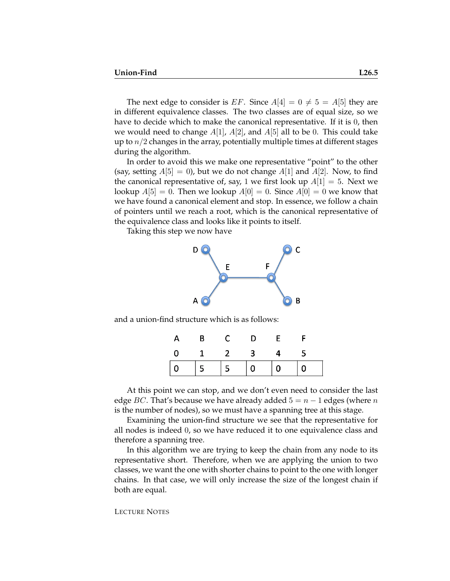The next edge to consider is EF. Since  $A[4] = 0 \neq 5 = A[5]$  they are in different equivalence classes. The two classes are of equal size, so we have to decide which to make the canonical representative. If it is 0, then we would need to change  $A[1]$ ,  $A[2]$ , and  $A[5]$  all to be 0. This could take up to  $n/2$  changes in the array, potentially multiple times at different stages during the algorithm.

In order to avoid this we make one representative "point" to the other (say, setting  $A[5] = 0$ ), but we do not change  $A[1]$  and  $A[2]$ . Now, to find the canonical representative of, say, 1 we first look up  $A[1] = 5$ . Next we lookup  $A[5] = 0$ . Then we lookup  $A[0] = 0$ . Since  $A[0] = 0$  we know that we have found a canonical element and stop. In essence, we follow a chain of pointers until we reach a root, which is the canonical representative of the equivalence class and looks like it points to itself.

Taking this step we now have



and a union-find structure which is as follows:

| $\overline{B}$                                        | $C$ D | $\mathbf{F}$ |  |
|-------------------------------------------------------|-------|--------------|--|
| $\begin{array}{cccccccc}\n0 & 1 & 2 & 3\n\end{array}$ |       |              |  |
|                                                       |       |              |  |

At this point we can stop, and we don't even need to consider the last edge BC. That's because we have already added  $5 = n - 1$  edges (where n is the number of nodes), so we must have a spanning tree at this stage.

Examining the union-find structure we see that the representative for all nodes is indeed 0, so we have reduced it to one equivalence class and therefore a spanning tree.

In this algorithm we are trying to keep the chain from any node to its representative short. Therefore, when we are applying the union to two classes, we want the one with shorter chains to point to the one with longer chains. In that case, we will only increase the size of the longest chain if both are equal.

#### LECTURE NOTES